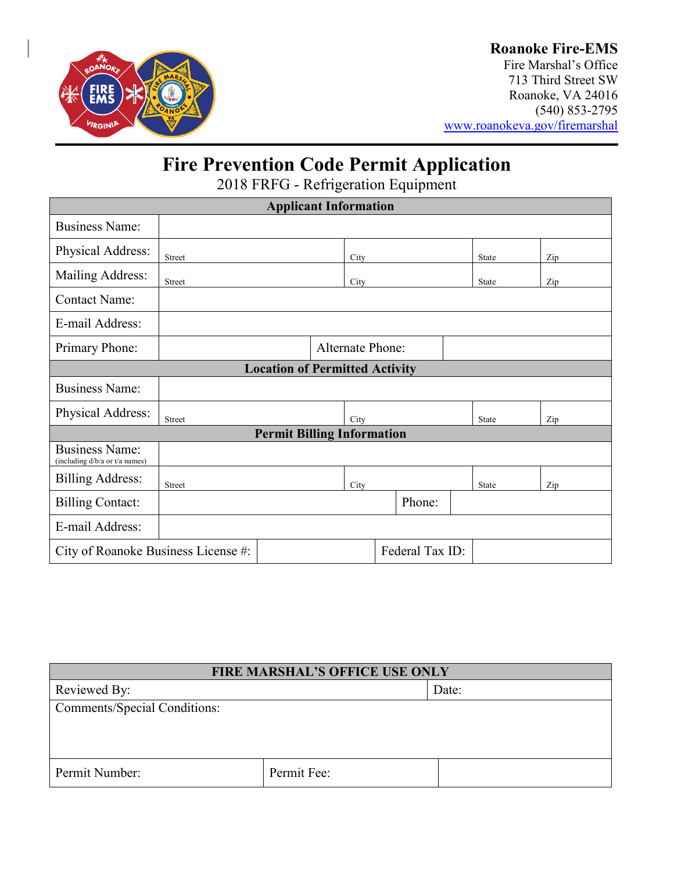

### **Roanoke Fire-EMS**

Fire Marshal's Office 713 Third Street SW Roanoke, VA 24016 (540) 853-2795 [www.roanokeva.gov/firemarshal](http://www.roanokeva.gov/firemarshal)

# **Fire Prevention Code Permit Application**

2018 FRFG - Refrigeration Equipment

| <b>Applicant Information</b>                            |                  |  |      |        |  |              |              |     |  |
|---------------------------------------------------------|------------------|--|------|--------|--|--------------|--------------|-----|--|
| <b>Business Name:</b>                                   |                  |  |      |        |  |              |              |     |  |
| Physical Address:                                       | <b>Street</b>    |  | City |        |  |              | State        | Zip |  |
| Mailing Address:                                        | Street           |  | City |        |  |              | <b>State</b> | Zip |  |
| <b>Contact Name:</b>                                    |                  |  |      |        |  |              |              |     |  |
| E-mail Address:                                         |                  |  |      |        |  |              |              |     |  |
| Primary Phone:                                          | Alternate Phone: |  |      |        |  |              |              |     |  |
| <b>Location of Permitted Activity</b>                   |                  |  |      |        |  |              |              |     |  |
| <b>Business Name:</b>                                   |                  |  |      |        |  |              |              |     |  |
| Physical Address:                                       | Street           |  | City |        |  | <b>State</b> | Zip          |     |  |
| <b>Permit Billing Information</b>                       |                  |  |      |        |  |              |              |     |  |
| <b>Business Name:</b><br>(including d/b/a or t/a names) |                  |  |      |        |  |              |              |     |  |
| <b>Billing Address:</b>                                 | Street           |  | City |        |  |              | <b>State</b> | Zip |  |
| <b>Billing Contact:</b>                                 |                  |  |      | Phone: |  |              |              |     |  |
| E-mail Address:                                         |                  |  |      |        |  |              |              |     |  |
| Federal Tax ID:<br>City of Roanoke Business License #:  |                  |  |      |        |  |              |              |     |  |

| <b>FIRE MARSHAL'S OFFICE USE ONLY</b> |             |       |  |  |
|---------------------------------------|-------------|-------|--|--|
| Reviewed By:                          |             | Date: |  |  |
| <b>Comments/Special Conditions:</b>   |             |       |  |  |
|                                       |             |       |  |  |
|                                       |             |       |  |  |
|                                       |             |       |  |  |
| Permit Number:                        | Permit Fee: |       |  |  |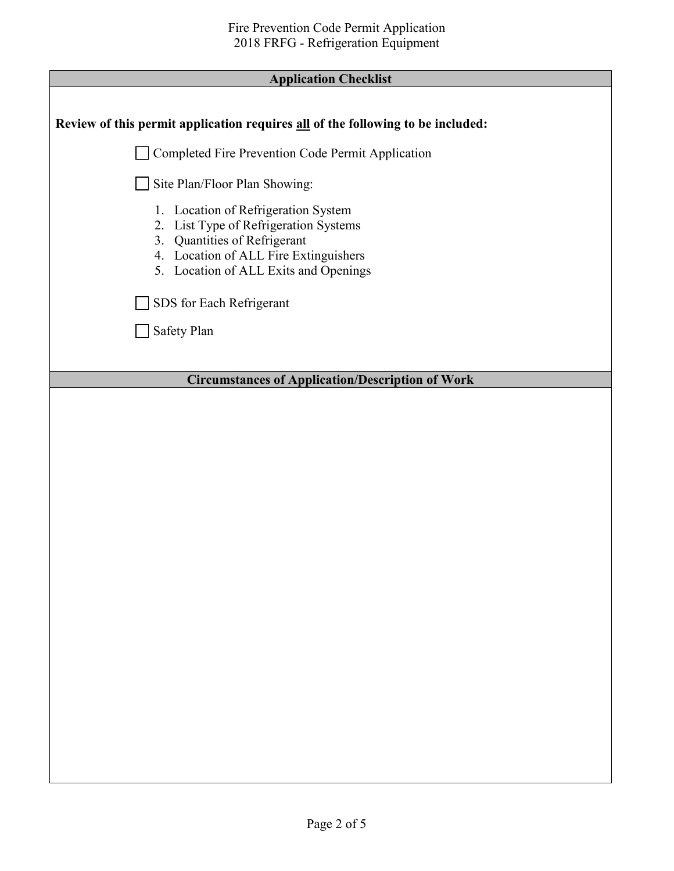| <b>Application Checklist</b> |  |
|------------------------------|--|
|------------------------------|--|

Г

| Application Cliteriist                                                                                                                                                                         |  |  |  |
|------------------------------------------------------------------------------------------------------------------------------------------------------------------------------------------------|--|--|--|
| Review of this permit application requires all of the following to be included:                                                                                                                |  |  |  |
| Completed Fire Prevention Code Permit Application                                                                                                                                              |  |  |  |
| Site Plan/Floor Plan Showing:                                                                                                                                                                  |  |  |  |
| 1. Location of Refrigeration System<br>2. List Type of Refrigeration Systems<br>3. Quantities of Refrigerant<br>4. Location of ALL Fire Extinguishers<br>5. Location of ALL Exits and Openings |  |  |  |
| SDS for Each Refrigerant                                                                                                                                                                       |  |  |  |
| Safety Plan                                                                                                                                                                                    |  |  |  |
|                                                                                                                                                                                                |  |  |  |
| <b>Circumstances of Application/Description of Work</b>                                                                                                                                        |  |  |  |
|                                                                                                                                                                                                |  |  |  |
|                                                                                                                                                                                                |  |  |  |
|                                                                                                                                                                                                |  |  |  |
|                                                                                                                                                                                                |  |  |  |
|                                                                                                                                                                                                |  |  |  |
|                                                                                                                                                                                                |  |  |  |
|                                                                                                                                                                                                |  |  |  |
|                                                                                                                                                                                                |  |  |  |
|                                                                                                                                                                                                |  |  |  |
|                                                                                                                                                                                                |  |  |  |
|                                                                                                                                                                                                |  |  |  |
|                                                                                                                                                                                                |  |  |  |
|                                                                                                                                                                                                |  |  |  |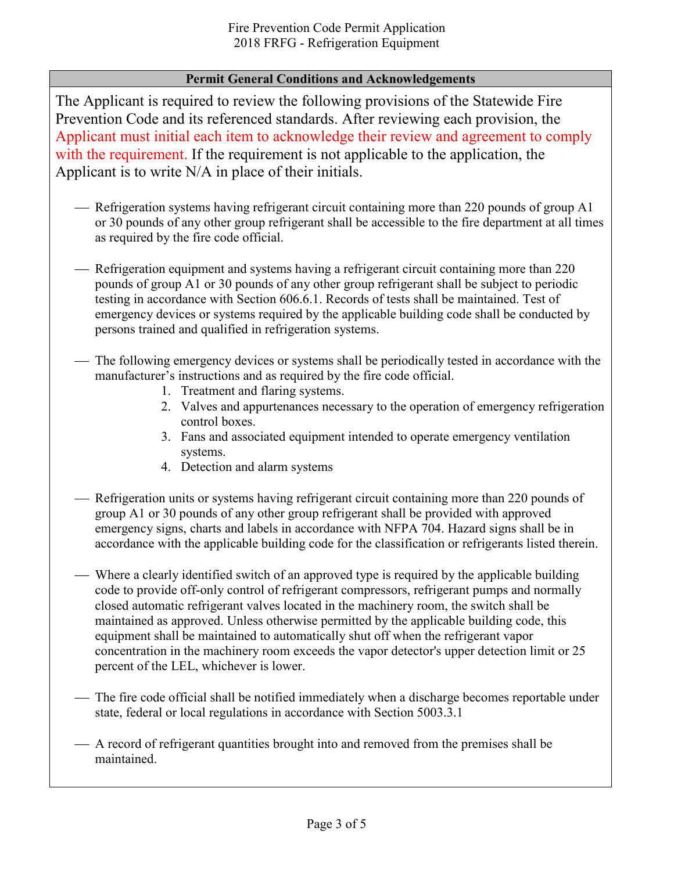### **Permit General Conditions and Acknowledgements**

The Applicant is required to review the following provisions of the Statewide Fire Prevention Code and its referenced standards. After reviewing each provision, the Applicant must initial each item to acknowledge their review and agreement to comply with the requirement. If the requirement is not applicable to the application, the Applicant is to write N/A in place of their initials.

- Refrigeration systems having refrigerant circuit containing more than 220 pounds of group  $A1$ or 30 pounds of any other group refrigerant shall be accessible to the fire department at all times as required by the fire code official.
- Refrigeration equipment and systems having a refrigerant circuit containing more than 220 pounds of group A1 or 30 pounds of any other group refrigerant shall be subject to periodic testing in accordance with Section 606.6.1. Records of tests shall be maintained. Test of emergency devices or systems required by the applicable building code shall be conducted by persons trained and qualified in refrigeration systems.
- The following emergency devices or systems shall be periodically tested in accordance with the manufacturer's instructions and as required by the fire code official.
	- 1. Treatment and flaring systems.
	- 2. Valves and appurtenances necessary to the operation of emergency refrigeration control boxes.
	- 3. Fans and associated equipment intended to operate emergency ventilation systems.
	- 4. Detection and alarm systems
- Refrigeration units or systems having refrigerant circuit containing more than 220 pounds of group A1 or 30 pounds of any other group refrigerant shall be provided with approved emergency signs, charts and labels in accordance with NFPA 704. Hazard signs shall be in accordance with the applicable building code for the classification or refrigerants listed therein.
- Where a clearly identified switch of an approved type is required by the applicable building code to provide off-only control of refrigerant compressors, refrigerant pumps and normally closed automatic refrigerant valves located in the machinery room, the switch shall be maintained as approved. Unless otherwise permitted by the applicable building code, this equipment shall be maintained to automatically shut off when the refrigerant vapor concentration in the machinery room exceeds the vapor detector's upper detection limit or 25 percent of the LEL, whichever is lower.
- The fire code official shall be notified immediately when a discharge becomes reportable under state, federal or local regulations in accordance with Section 5003.3.1
- A record of refrigerant quantities brought into and removed from the premises shall be maintained.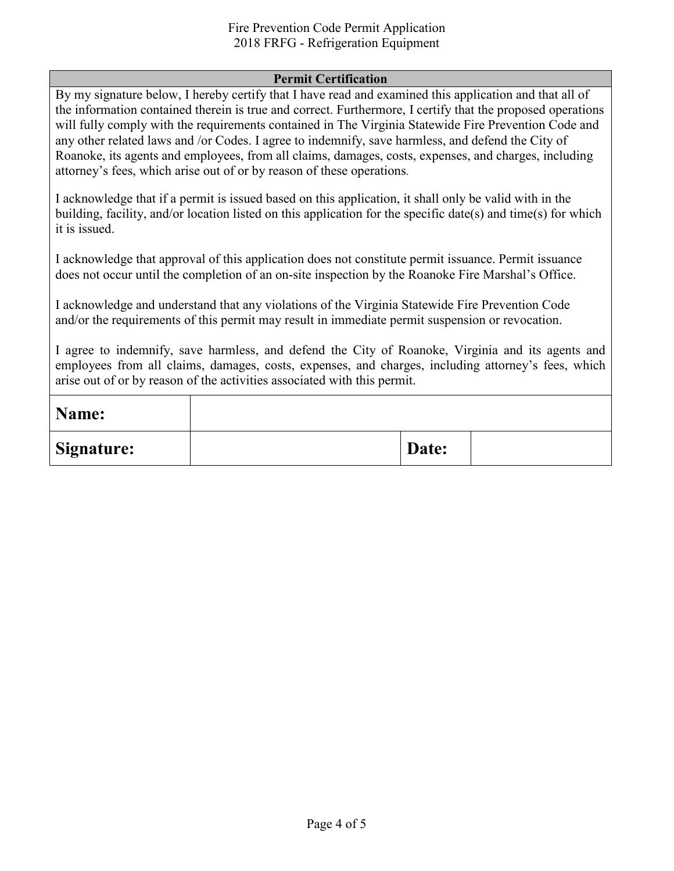#### Fire Prevention Code Permit Application 2018 FRFG - Refrigeration Equipment

#### **Permit Certification**

By my signature below, I hereby certify that I have read and examined this application and that all of the information contained therein is true and correct. Furthermore, I certify that the proposed operations will fully comply with the requirements contained in The Virginia Statewide Fire Prevention Code and any other related laws and /or Codes. I agree to indemnify, save harmless, and defend the City of Roanoke, its agents and employees, from all claims, damages, costs, expenses, and charges, including attorney's fees, which arise out of or by reason of these operations.

I acknowledge that if a permit is issued based on this application, it shall only be valid with in the building, facility, and/or location listed on this application for the specific date(s) and time(s) for which it is issued.

I acknowledge that approval of this application does not constitute permit issuance. Permit issuance does not occur until the completion of an on-site inspection by the Roanoke Fire Marshal's Office.

I acknowledge and understand that any violations of the Virginia Statewide Fire Prevention Code and/or the requirements of this permit may result in immediate permit suspension or revocation.

I agree to indemnify, save harmless, and defend the City of Roanoke, Virginia and its agents and employees from all claims, damages, costs, expenses, and charges, including attorney's fees, which arise out of or by reason of the activities associated with this permit.

| Name:             |       |  |
|-------------------|-------|--|
| <b>Signature:</b> | Date: |  |